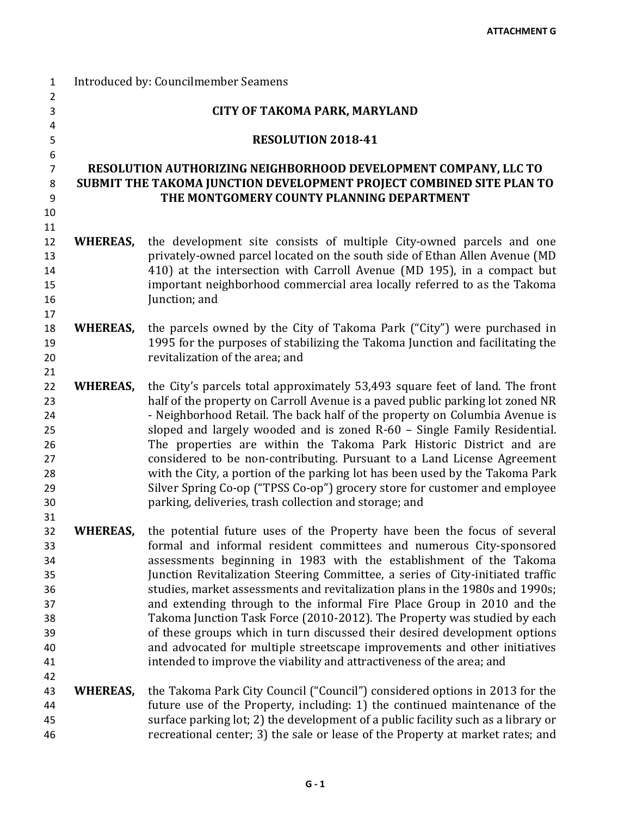| $\mathbf{1}$   | Introduced by: Councilmember Seamens |                                                                                                                                                        |  |
|----------------|--------------------------------------|--------------------------------------------------------------------------------------------------------------------------------------------------------|--|
| $\overline{2}$ |                                      |                                                                                                                                                        |  |
| 3              |                                      | <b>CITY OF TAKOMA PARK, MARYLAND</b>                                                                                                                   |  |
| 4<br>5         |                                      | RESOLUTION 2018-41                                                                                                                                     |  |
| 6              |                                      |                                                                                                                                                        |  |
| $\overline{7}$ |                                      | RESOLUTION AUTHORIZING NEIGHBORHOOD DEVELOPMENT COMPANY, LLC TO                                                                                        |  |
| 8              |                                      | SUBMIT THE TAKOMA JUNCTION DEVELOPMENT PROJECT COMBINED SITE PLAN TO                                                                                   |  |
| 9              |                                      | THE MONTGOMERY COUNTY PLANNING DEPARTMENT                                                                                                              |  |
| 10             |                                      |                                                                                                                                                        |  |
| 11             |                                      |                                                                                                                                                        |  |
| 12             | <b>WHEREAS,</b>                      | the development site consists of multiple City-owned parcels and one                                                                                   |  |
| 13             |                                      | privately-owned parcel located on the south side of Ethan Allen Avenue (MD                                                                             |  |
| 14             |                                      | 410) at the intersection with Carroll Avenue (MD 195), in a compact but                                                                                |  |
| 15             |                                      | important neighborhood commercial area locally referred to as the Takoma                                                                               |  |
| 16             |                                      | Junction; and                                                                                                                                          |  |
| 17             |                                      |                                                                                                                                                        |  |
| 18             | <b>WHEREAS,</b>                      | the parcels owned by the City of Takoma Park ("City") were purchased in                                                                                |  |
| 19             |                                      | 1995 for the purposes of stabilizing the Takoma Junction and facilitating the                                                                          |  |
| 20             |                                      | revitalization of the area; and                                                                                                                        |  |
| 21<br>22       | <b>WHEREAS,</b>                      | the City's parcels total approximately 53,493 square feet of land. The front                                                                           |  |
| 23             |                                      | half of the property on Carroll Avenue is a paved public parking lot zoned NR                                                                          |  |
| 24             |                                      | - Neighborhood Retail. The back half of the property on Columbia Avenue is                                                                             |  |
| 25             |                                      | sloped and largely wooded and is zoned R-60 - Single Family Residential.                                                                               |  |
| 26             |                                      | The properties are within the Takoma Park Historic District and are                                                                                    |  |
| 27             |                                      | considered to be non-contributing. Pursuant to a Land License Agreement                                                                                |  |
| 28             |                                      | with the City, a portion of the parking lot has been used by the Takoma Park                                                                           |  |
| 29             |                                      | Silver Spring Co-op ("TPSS Co-op") grocery store for customer and employee                                                                             |  |
| 30             |                                      | parking, deliveries, trash collection and storage; and                                                                                                 |  |
| 31             |                                      |                                                                                                                                                        |  |
| 32             | <b>WHEREAS,</b>                      | the potential future uses of the Property have been the focus of several                                                                               |  |
| 33             |                                      | formal and informal resident committees and numerous City-sponsored                                                                                    |  |
| 34             |                                      | assessments beginning in 1983 with the establishment of the Takoma                                                                                     |  |
| 35             |                                      | Junction Revitalization Steering Committee, a series of City-initiated traffic                                                                         |  |
| 36<br>37       |                                      | studies, market assessments and revitalization plans in the 1980s and 1990s;<br>and extending through to the informal Fire Place Group in 2010 and the |  |
| 38             |                                      | Takoma Junction Task Force (2010-2012). The Property was studied by each                                                                               |  |
| 39             |                                      | of these groups which in turn discussed their desired development options                                                                              |  |
| 40             |                                      | and advocated for multiple streetscape improvements and other initiatives                                                                              |  |
| 41             |                                      | intended to improve the viability and attractiveness of the area; and                                                                                  |  |
| 42             |                                      |                                                                                                                                                        |  |
| 43             | WHEREAS,                             | the Takoma Park City Council ("Council") considered options in 2013 for the                                                                            |  |
| 44             |                                      | future use of the Property, including: 1) the continued maintenance of the                                                                             |  |
| 45             |                                      | surface parking lot; 2) the development of a public facility such as a library or                                                                      |  |
| 46             |                                      | recreational center; 3) the sale or lease of the Property at market rates; and                                                                         |  |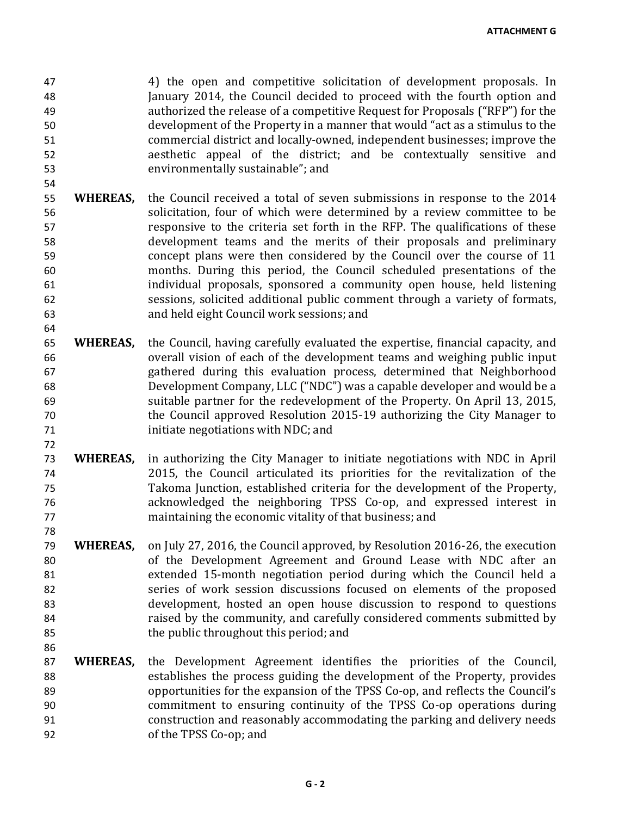47 4) the open and competitive solicitation of development proposals. In<br>48 12014, the Council decided to proceed with the fourth option and January 2014, the Council decided to proceed with the fourth option and 49 authorized the release of a competitive Request for Proposals ("RFP") for the 50 50 development of the Property in a manner that would "act as a stimulus to the<br>51 commercial district and locally-owned, independent businesses: improve the 51 commercial district and locally-owned, independent businesses; improve the<br>52 aesthetic appeal of the district: and be contextually sensitive and 52 aesthetic appeal of the district; and be contextually sensitive and 53 environmentally sustainable"; and

54

64

72

78

- 55 **WHEREAS,** the Council received a total of seven submissions in response to the 2014<br>56 Solicitation, four of which were determined by a review committee to be 56 solicitation, four of which were determined by a review committee to be responsive to the criteria set forth in the RFP. The qualifications of these responsive to the criteria set forth in the RFP. The qualifications of these 58 development teams and the merits of their proposals and preliminary<br>59 concept plans were then considered by the Council over the course of 11 59 concept plans were then considered by the Council over the course of 11<br>50 months. During this period, the Council scheduled presentations of the 60 months. During this period, the Council scheduled presentations of the individual proposals, sponsored a community open house, held listening 62 sessions, solicited additional public comment through a variety of formats,<br>63 and held eight Council work sessions: and and held eight Council work sessions; and
- 65 **WHEREAS,** the Council, having carefully evaluated the expertise, financial capacity, and 66 overall vision of each of the development teams and weighing public input<br>67 sathered during this evaluation process, determined that Neighborhood 67 67 gathered during this evaluation process, determined that Neighborhood<br>68 fevelopment Company. LLC ("NDC") was a capable developer and would be a 68 Development Company, LLC ("NDC") was a capable developer and would be a<br>69 suitable partner for the redevelopment of the Property. On April 13, 2015, suitable partner for the redevelopment of the Property. On April 13, 2015, 70 the Council approved Resolution 2015-19 authorizing the City Manager to<br>71 initiate negotiations with NDC: and initiate negotiations with NDC; and
- 73 **WHEREAS,** in authorizing the City Manager to initiate negotiations with NDC in April 74 2015, the Council articulated its priorities for the revitalization of the 75 Takoma Junction, established criteria for the development of the Property, 76 acknowledged the neighboring TPSS Co-op, and expressed interest in maintaining the economic vitality of that business; and
- 79 **WHEREAS,** on July 27, 2016, the Council approved, by Resolution 2016-26, the execution 80 of the Development Agreement and Ground Lease with NDC after an<br>81 or extended 15-month negotiation period during which the Council held a 81 extended 15-month negotiation period during which the Council held a<br>82 series of work session discussions focused on elements of the proposed series of work session discussions focused on elements of the proposed 83 development, hosted an open house discussion to respond to questions<br>84 raised by the community, and carefully considered comments submitted by 84 raised by the community, and carefully considered comments submitted by<br>85 the public throughout this period; and the public throughout this period; and
- 87 **WHEREAS,** the Development Agreement identifies the priorities of the Council,<br>88 establishes the process guiding the development of the Property provides 88 establishes the process guiding the development of the Property, provides<br>89 opportunities for the expansion of the TPSS Co-op, and reflects the Council's 89 opportunities for the expansion of the TPSS Co-op, and reflects the Council's<br>80 opportunitment to ensuring continuity of the TPSS Co-op operations during 90 commitment to ensuring continuity of the TPSS Co-op operations during<br>91 construction and reasonably accommodating the parking and delivery needs 91 construction and reasonably accommodating the parking and delivery needs<br>92 of the TPSS Co-on: and of the TPSS Co-op; and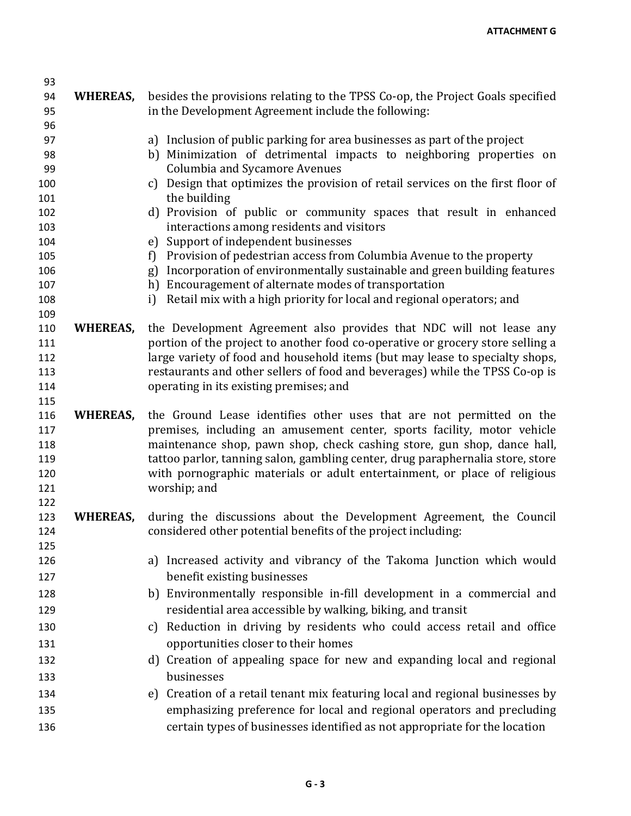| 93         |                 |                                                                                                                                                                |
|------------|-----------------|----------------------------------------------------------------------------------------------------------------------------------------------------------------|
| 94         | <b>WHEREAS,</b> | besides the provisions relating to the TPSS Co-op, the Project Goals specified                                                                                 |
| 95         |                 | in the Development Agreement include the following:                                                                                                            |
| 96         |                 |                                                                                                                                                                |
| 97         |                 | a) Inclusion of public parking for area businesses as part of the project                                                                                      |
| 98         |                 | b) Minimization of detrimental impacts to neighboring properties on                                                                                            |
| 99         |                 | <b>Columbia and Sycamore Avenues</b>                                                                                                                           |
| 100        |                 | c) Design that optimizes the provision of retail services on the first floor of                                                                                |
| 101        |                 | the building                                                                                                                                                   |
| 102<br>103 |                 | d) Provision of public or community spaces that result in enhanced<br>interactions among residents and visitors                                                |
| 104        |                 | e) Support of independent businesses                                                                                                                           |
| 105        |                 | Provision of pedestrian access from Columbia Avenue to the property<br>f)                                                                                      |
| 106        |                 | Incorporation of environmentally sustainable and green building features<br>g)                                                                                 |
| 107        |                 | h) Encouragement of alternate modes of transportation                                                                                                          |
| 108        |                 | Retail mix with a high priority for local and regional operators; and<br>i)                                                                                    |
| 109        |                 |                                                                                                                                                                |
| 110        | WHEREAS,        | the Development Agreement also provides that NDC will not lease any                                                                                            |
| 111<br>112 |                 | portion of the project to another food co-operative or grocery store selling a<br>large variety of food and household items (but may lease to specialty shops, |
| 113        |                 | restaurants and other sellers of food and beverages) while the TPSS Co-op is                                                                                   |
| 114        |                 | operating in its existing premises; and                                                                                                                        |
| 115        |                 |                                                                                                                                                                |
| 116        | <b>WHEREAS,</b> | the Ground Lease identifies other uses that are not permitted on the                                                                                           |
| 117        |                 | premises, including an amusement center, sports facility, motor vehicle                                                                                        |
| 118        |                 | maintenance shop, pawn shop, check cashing store, gun shop, dance hall,                                                                                        |
| 119        |                 | tattoo parlor, tanning salon, gambling center, drug paraphernalia store, store                                                                                 |
| 120        |                 | with pornographic materials or adult entertainment, or place of religious                                                                                      |
| 121        |                 | worship; and                                                                                                                                                   |
| 122        |                 |                                                                                                                                                                |
| 123        | <b>WHEREAS,</b> | during the discussions about the Development Agreement, the Council                                                                                            |
| 124        |                 | considered other potential benefits of the project including:                                                                                                  |
| 125        |                 |                                                                                                                                                                |
| 126        |                 | a) Increased activity and vibrancy of the Takoma Junction which would                                                                                          |
| 127        |                 | benefit existing businesses                                                                                                                                    |
| 128        |                 | b) Environmentally responsible in-fill development in a commercial and                                                                                         |
| 129        |                 | residential area accessible by walking, biking, and transit                                                                                                    |
| 130        |                 | c) Reduction in driving by residents who could access retail and office                                                                                        |
| 131        |                 | opportunities closer to their homes                                                                                                                            |
| 132        |                 | d) Creation of appealing space for new and expanding local and regional                                                                                        |
| 133        |                 | businesses                                                                                                                                                     |
| 134        |                 | e) Creation of a retail tenant mix featuring local and regional businesses by                                                                                  |
| 135        |                 | emphasizing preference for local and regional operators and precluding                                                                                         |
|            |                 |                                                                                                                                                                |
| 136        |                 | certain types of businesses identified as not appropriate for the location                                                                                     |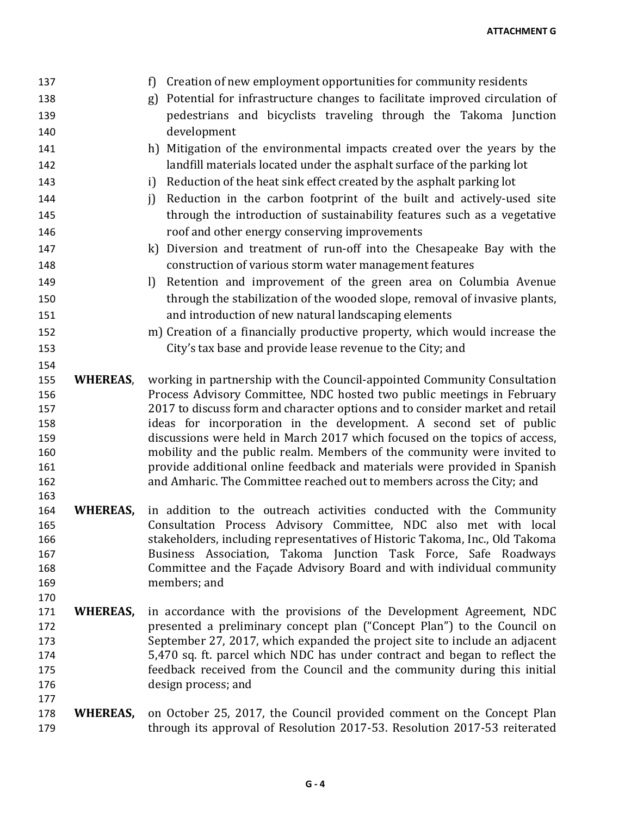| 137        |                 | Creation of new employment opportunities for community residents<br>f)                                                                              |
|------------|-----------------|-----------------------------------------------------------------------------------------------------------------------------------------------------|
| 138        |                 | g) Potential for infrastructure changes to facilitate improved circulation of                                                                       |
| 139        |                 | pedestrians and bicyclists traveling through the Takoma Junction                                                                                    |
| 140        |                 | development                                                                                                                                         |
| 141        |                 | h) Mitigation of the environmental impacts created over the years by the                                                                            |
| 142        |                 | landfill materials located under the asphalt surface of the parking lot                                                                             |
| 143        |                 | Reduction of the heat sink effect created by the asphalt parking lot<br>i                                                                           |
| 144        |                 | Reduction in the carbon footprint of the built and actively-used site<br>i                                                                          |
| 145        |                 | through the introduction of sustainability features such as a vegetative                                                                            |
| 146        |                 | roof and other energy conserving improvements                                                                                                       |
| 147        |                 | k) Diversion and treatment of run-off into the Chesapeake Bay with the                                                                              |
| 148        |                 | construction of various storm water management features                                                                                             |
| 149        |                 | Retention and improvement of the green area on Columbia Avenue<br>$\mathbf{I}$                                                                      |
| 150        |                 | through the stabilization of the wooded slope, removal of invasive plants,                                                                          |
| 151        |                 | and introduction of new natural landscaping elements                                                                                                |
| 152        |                 | m) Creation of a financially productive property, which would increase the                                                                          |
| 153        |                 | City's tax base and provide lease revenue to the City; and                                                                                          |
| 154        |                 |                                                                                                                                                     |
| 155        | <b>WHEREAS,</b> | working in partnership with the Council-appointed Community Consultation                                                                            |
| 156        |                 | Process Advisory Committee, NDC hosted two public meetings in February                                                                              |
| 157        |                 | 2017 to discuss form and character options and to consider market and retail                                                                        |
| 158        |                 | ideas for incorporation in the development. A second set of public                                                                                  |
| 159        |                 | discussions were held in March 2017 which focused on the topics of access,                                                                          |
| 160        |                 | mobility and the public realm. Members of the community were invited to                                                                             |
| 161<br>162 |                 | provide additional online feedback and materials were provided in Spanish<br>and Amharic. The Committee reached out to members across the City; and |
| 163        |                 |                                                                                                                                                     |
| 164        | <b>WHEREAS,</b> | in addition to the outreach activities conducted with the Community                                                                                 |
| 165        |                 | Consultation Process Advisory Committee, NDC also met with local                                                                                    |
| 166        |                 | stakeholders, including representatives of Historic Takoma, Inc., Old Takoma                                                                        |
| 167        |                 | Business Association, Takoma Junction Task Force, Safe Roadways                                                                                     |
| 168        |                 | Committee and the Façade Advisory Board and with individual community                                                                               |
| 169        |                 | members; and                                                                                                                                        |
| 170        |                 |                                                                                                                                                     |
| 171        | WHEREAS,        | in accordance with the provisions of the Development Agreement, NDC                                                                                 |
| 172        |                 | presented a preliminary concept plan ("Concept Plan") to the Council on                                                                             |
| 173        |                 | September 27, 2017, which expanded the project site to include an adjacent                                                                          |
| 174        |                 | 5,470 sq. ft. parcel which NDC has under contract and began to reflect the                                                                          |
| 175        |                 | feedback received from the Council and the community during this initial                                                                            |
| 176        |                 | design process; and                                                                                                                                 |
| 177        |                 |                                                                                                                                                     |
| 178        | WHEREAS,        | on October 25, 2017, the Council provided comment on the Concept Plan                                                                               |
| 179        |                 | through its approval of Resolution 2017-53. Resolution 2017-53 reiterated                                                                           |
|            |                 |                                                                                                                                                     |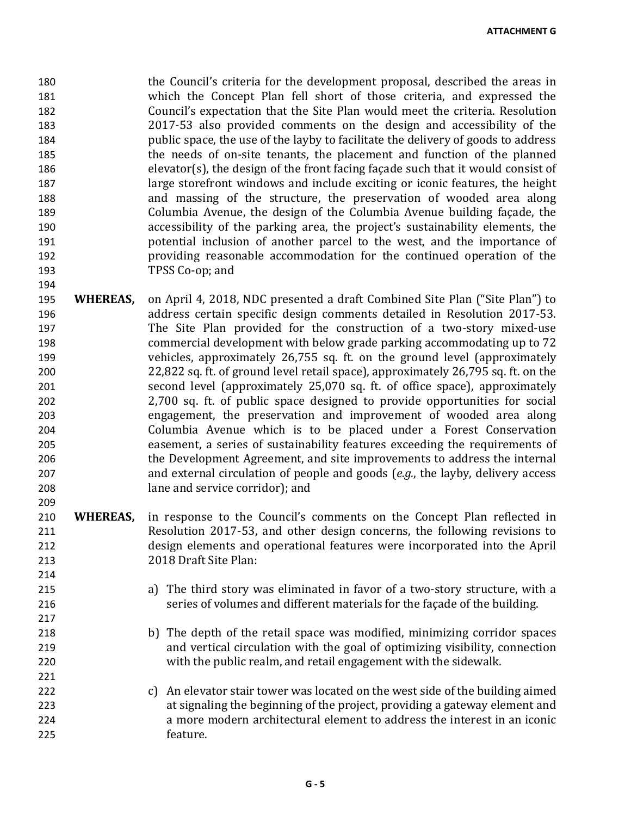**ATTACHMENT G**

180 the Council's criteria for the development proposal, described the areas in<br>181 the Concept Plan fell short of those criteria, and expressed the which the Concept Plan fell short of those criteria, and expressed the 182 Council's expectation that the Site Plan would meet the criteria. Resolution 183 2017-53 also provided comments on the design and accessibility of the 184 public space, the use of the layby to facilitate the delivery of goods to address 185 the needs of on-site tenants, the placement and function of the planned<br>186 the needs of the design of the front facing façade such that it would consist of  $e$ levator(s), the design of the front facing façade such that it would consist of 187 large storefront windows and include exciting or iconic features, the height<br>188 and massing of the structure, the preservation of wooded area along 188 and massing of the structure, the preservation of wooded area along<br>189 Columbia Avenue, the design of the Columbia Avenue building facade, the 189 Columbia Avenue, the design of the Columbia Avenue building façade, the 190 columbia Avenue scressibility of the parking area, the project's sustainability elements, the accessibility of the parking area, the project's sustainability elements, the 191 **potential inclusion of another parcel to the west, and the importance of providing reasonable accommodation for the continued operation of the** 192 providing reasonable accommodation for the continued operation of the 193 TPSS Co-op; and

195 **WHEREAS,** on April 4, 2018, NDC presented a draft Combined Site Plan ("Site Plan") to 196 196 address certain specific design comments detailed in Resolution 2017-53.<br>197 197 197 The Site Plan provided for the construction of a two-story mixed-use 197 197 The Site Plan provided for the construction of a two-story mixed-use<br>198 commercial development with below grade parking accommodating up to 72 198 commercial development with below grade parking accommodating up to 72 199 vehicles, approximately 26,755 sq. ft. on the ground level (approximately 200<br>22.822 sq. ft. of ground level retail space), approximately 26,795 sq. ft. on the 200 22,822 sq. ft. of ground level retail space), approximately 26,795 sq. ft. on the<br>201 second level (approximately 25,070 sq. ft. of office space), approximately 201 second level (approximately 25,070 sq. ft. of office space), approximately<br>202 2.700 sq. ft. of public space designed to provide opportunities for social 2,700 sq. ft. of public space designed to provide opportunities for social 203 engagement, the preservation and improvement of wooded area along<br>204 Columbia Avenue which is to be placed under a Forest Conservation 204 Columbia Avenue which is to be placed under a Forest Conservation<br>205 easement, a series of sustainability features exceeding the requirements of 205 easement, a series of sustainability features exceeding the requirements of 206 easement Agreement, and site improvements to address the internal the Development Agreement, and site improvements to address the internal 207 and external circulation of people and goods (*e.g.*, the layby, delivery access lane and service corridor); and

194

209

214<br>215

- 210 **WHEREAS,** in response to the Council's comments on the Concept Plan reflected in 211 Resolution 2017-53, and other design concerns, the following revisions to 212 design elements and operational features were incorporated into the April 213 2018 Draft Site Plan:
- a) The third story was eliminated in favor of a two-story structure, with a 216 series of volumes and different materials for the façade of the building.
- 218 b) The depth of the retail space was modified, minimizing corridor spaces<br>219 and vertical circulation with the goal of optimizing visibility, connection 219 and vertical circulation with the goal of optimizing visibility, connection<br>220 with the public realm, and retail engagement with the sidewalk. with the public realm, and retail engagement with the sidewalk.
- 221<br>222 222 c) An elevator stair tower was located on the west side of the building aimed<br>223 at signaling the beginning of the project, providing a gateway element and 223 at signaling the beginning of the project, providing a gateway element and<br>224 a more modern architectural element to address the interest in an iconic a more modern architectural element to address the interest in an iconic 225 feature.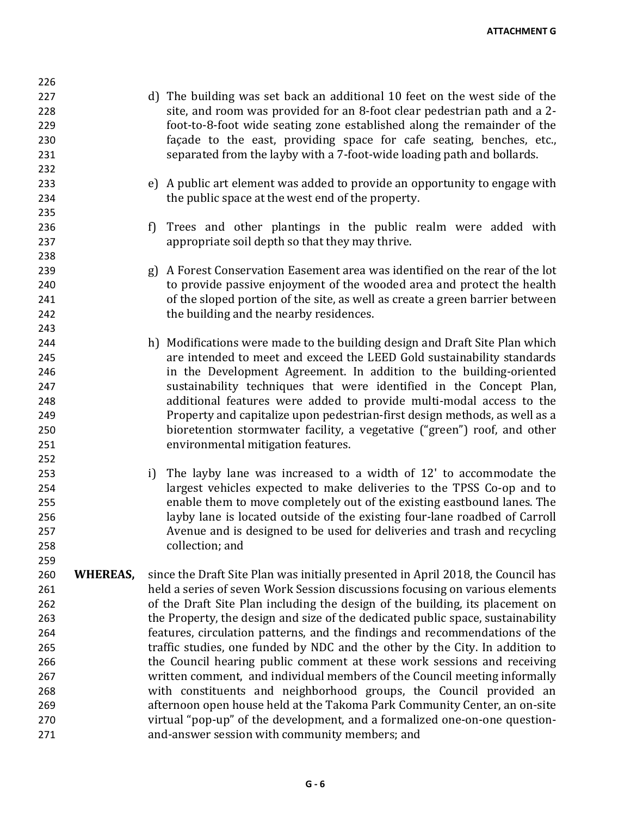226 227 d) The building was set back an additional 10 feet on the west side of the 228 site, and room was provided for an 8-foot clear pedestrian path and a 2- 229 foot-to-8-foot wide seating zone established along the remainder of the 230 **120 façade to the east, providing space for cafe seating, benches, etc.,**<br>231 separated from the lavby with a 7-foot-wide loading path and bollards. separated from the layby with a 7-foot-wide loading path and bollards. 232 233 e) A public art element was added to provide an opportunity to engage with the public space at the west end of the property. the public space at the west end of the property. 235 236 f) Trees and other plantings in the public realm were added with 237 appropriate soil depth so that they may thrive. 238<br>239 239 a Forest Conservation Easement area was identified on the rear of the lot 240 conservation assive enjoyment of the wooded area and protect the health to provide passive enjoyment of the wooded area and protect the health 241 of the sloped portion of the site, as well as create a green barrier between<br>242 the building and the nearby residences. the building and the nearby residences. 243<br>244 244 h) Modifications were made to the building design and Draft Site Plan which 245 are intended to meet and exceed the LEED Gold sustainability standards 246 in the Development Agreement. In addition to the building-oriented<br>247 sustainability techniques that were identified in the Concept Plan. 247 sustainability techniques that were identified in the Concept Plan,<br>248 additional features were added to provide multi-modal access to the additional features were added to provide multi-modal access to the 249 Property and capitalize upon pedestrian-first design methods, as well as a<br>250 hioretention stormwater facility, a vegetative ("green") roof, and other 250 bioretention stormwater facility, a vegetative ("green") roof, and other<br>251 convironmental mitigation features. environmental mitigation features. 252 253 i) The layby lane was increased to a width of 12' to accommodate the<br>254 **hargest vehicles expected to make deliveries to the TPSS** Co-op and to largest vehicles expected to make deliveries to the TPSS Co-op and to 255 enable them to move completely out of the existing eastbound lanes. The<br>256 havby lane is located outside of the existing four-lane roadbed of Carroll layby lane is located outside of the existing four-lane roadbed of Carroll 257 Avenue and is designed to be used for deliveries and trash and recycling 258 collection; and 259 260 **WHEREAS,** since the Draft Site Plan was initially presented in April 2018, the Council has held a series of seven Work Session discussions focusing on various elements held a series of seven Work Session discussions focusing on various elements 262 of the Draft Site Plan including the design of the building, its placement on<br>263 the Property, the design and size of the dedicated public space, sustainability the Property, the design and size of the dedicated public space, sustainability 264 features, circulation patterns, and the findings and recommendations of the 265 traffic studies, one funded by NDC and the other by the City. In addition to<br>266 the Council hearing public comment at these work sessions and receiving the Council hearing public comment at these work sessions and receiving 267 entirent written comment, and individual members of the Council meeting informally<br>268 entire with constituents and neighborhood groups, the Council provided an 268 with constituents and neighborhood groups, the Council provided an 269 afternoon open house held at the Takoma Park Community Center, an on-site<br>270 https://wirtual "pop-up" of the development, and a formalized one-on-one questionvirtual "pop-up" of the development, and a formalized one-on-one question-271 and-answer session with community members; and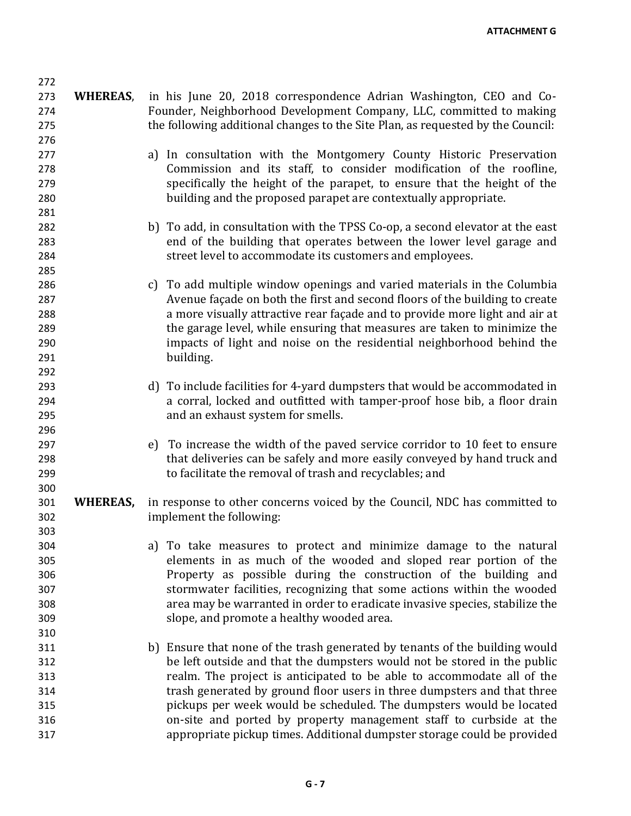273 **WHEREAS**, in his June 20, 2018 correspondence Adrian Washington, CEO and Co-274 Founder, Neighborhood Development Company, LLC, committed to making 275 the following additional changes to the Site Plan, as requested by the Council: 276<br>277 277 a) In consultation with the Montgomery County Historic Preservation<br>278 Commission and its staff, to consider modification of the roofline. Commission and its staff, to consider modification of the roofline, 279 specifically the height of the parapet, to ensure that the height of the<br>280 building and the proposed parapet are contextually appropriate. building and the proposed parapet are contextually appropriate. 281 282 b) To add, in consultation with the TPSS Co-op, a second elevator at the east 283 end of the building that operates between the lower level garage and<br>284 street level to accommodate its customers and employees. street level to accommodate its customers and employees. 285<br>286 c) To add multiple window openings and varied materials in the Columbia 287 287 Avenue façade on both the first and second floors of the building to create<br>288 288 a more visually attractive rear facade and to provide more light and air at 288 a more visually attractive rear façade and to provide more light and air at<br>289 https garage level, while ensuring that measures are taken to minimize the 289 the garage level, while ensuring that measures are taken to minimize the<br>290 the simple impacts of light and noise on the residential neighborhood behind the 290 impacts of light and noise on the residential neighborhood behind the 291 building. 292<br>293 293 d) To include facilities for 4-yard dumpsters that would be accommodated in<br>294 a corral, locked and outfitted with tamper-proof hose bib, a floor drain a corral, locked and outfitted with tamper-proof hose bib, a floor drain 295 and an exhaust system for smells. 296<br>297 297 e) To increase the width of the paved service corridor to 10 feet to ensure<br>298 that deliveries can be safely and more easily conveyed by hand truck and that deliveries can be safely and more easily conveyed by hand truck and 299 to facilitate the removal of trash and recyclables; and 300 301 **WHEREAS,** in response to other concerns voiced by the Council, NDC has committed to implement the following: 303 304 a) To take measures to protect and minimize damage to the natural<br>305 elements in as much of the wooded and sloped rear portion of the 305 elements in as much of the wooded and sloped rear portion of the 306 Property as possible during the construction of the building and<br>307 stormwater facilities, recognizing that some actions within the wooded stormwater facilities, recognizing that some actions within the wooded 308 area may be warranted in order to eradicate invasive species, stabilize the slope, and promote a healthy wooded area. 310 311 b) Ensure that none of the trash generated by tenants of the building would<br>be left outside and that the dumpsters would not be stored in the public be left outside and that the dumpsters would not be stored in the public 313 realm. The project is anticipated to be able to accommodate all of the trash generated by ground floor users in three dumpsters and that three 314 trash generated by ground floor users in three dumpsters and that three<br>315 the pickups per week would be scheduled. The dumpsters would be located 315 bickups per week would be scheduled. The dumpsters would be located<br>316 **bicker on the same on-site and ported** by property management staff to curbside at the 316 on-site and ported by property management staff to curbside at the 317 appropriate pickup times. Additional dumpster storage could be provided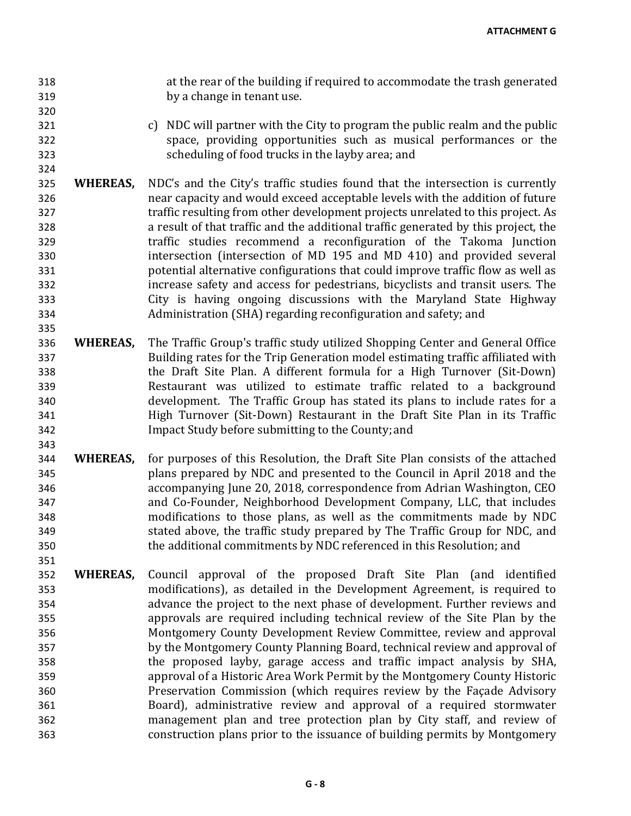318 318 at the rear of the building if required to accommodate the trash generated<br>319 by a change in tenant use. by a change in tenant use.

321 c) NDC will partner with the City to program the public realm and the public 322 space, providing opportunities such as musical performances or the scheduling of food trucks in the lavby area: and scheduling of food trucks in the layby area; and

320

324

335

343

- 325 **WHEREAS,** NDC's and the City's traffic studies found that the intersection is currently near capacity and would exceed acceptable levels with the addition of future 326 near capacity and would exceed acceptable levels with the addition of future 327 traffic resulting from other development projects unrelated to this project. As<br>328 a result of that traffic and the additional traffic generated by this project, the a result of that traffic and the additional traffic generated by this project, the 329 **1.1 traffic studies recommend a reconfiguration of the Takoma Junction**<br>330 **1.1 intersection (intersection of MD** 195 and MD 410) and provided several 330 intersection (intersection of MD 195 and MD 410) and provided several<br>331 botential alternative configurations that could improve traffic flow as well as 331 potential alternative configurations that could improve traffic flow as well as increase safety and access for pedestrians, bicyclists and transit users. The 333 City is having ongoing discussions with the Maryland State Highway Administration (SHA) regarding reconfiguration and safety; and
- 336 **WHEREAS,** The Traffic Group's traffic study utilized Shopping Center and General Office Building rates for the Trip Generation model estimating traffic affiliated with 338 the Draft Site Plan. A different formula for a High Turnover (Sit-Down)<br>339 Restaurant was utilized to estimate traffic related to a background 339 Restaurant was utilized to estimate traffic related to a background development. The Traffic Group has stated its plans to include rates for a 341 High Turnover (Sit-Down) Restaurant in the Draft Site Plan in its Traffic Impact Study before submitting to the County; and
- 344 **WHEREAS,** for purposes of this Resolution, the Draft Site Plan consists of the attached 345 plans prepared by NDC and presented to the Council in April 2018 and the accompanying June 20, 2018, correspondence from Adrian Washington, CEO 347 and Co-Founder, Neighborhood Development Company, LLC, that includes<br>348 modifications to those plans, as well as the commitments made by NDC modifications to those plans, as well as the commitments made by NDC 349 stated above, the traffic study prepared by The Traffic Group for NDC, and 350 the additional commitments by NDC referenced in this Resolution; and
- 352 **WHEREAS,** Council approval of the proposed Draft Site Plan (and identified modifications), as detailed in the Development Agreement, is required to 354 advance the project to the next phase of development. Further reviews and<br>355 approvals are required including technical review of the Site Plan by the approvals are required including technical review of the Site Plan by the 356 Montgomery County Development Review Committee, review and approval<br>357 by the Montgomery County Planning Board, technical review and approval of 357 by the Montgomery County Planning Board, technical review and approval of 358<br>358 the proposed layby, garage access and traffic impact analysis by SHA, 358 the proposed layby, garage access and traffic impact analysis by SHA, 359 approval of a Historic Area Work Permit by the Montgomery County Historic Preservation Commission (which requires review by the Façade Advisory 361 Board), administrative review and approval of a required stormwater management plan and tree protection plan by City staff, and review of 363 construction plans prior to the issuance of building permits by Montgomery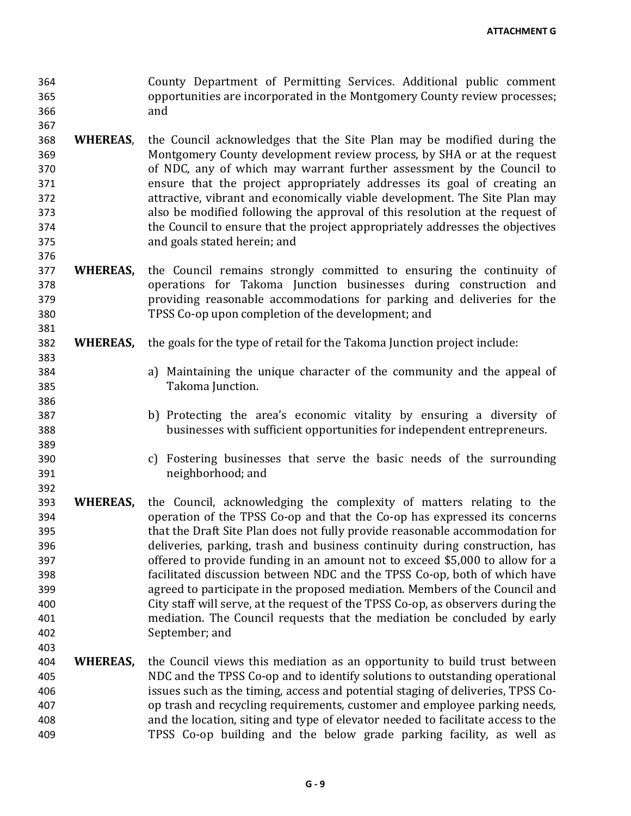364 County Department of Permitting Services. Additional public comment 365 365 opportunities are incorporated in the Montgomery County review processes; 366 and

367

376

381

383

386

389

392

- 368 **WHEREAS**, the Council acknowledges that the Site Plan may be modified during the 369 Montgomery County development review process, by SHA or at the request<br>370 of NDC, any of which may warrant further assessment by the Council to of NDC, any of which may warrant further assessment by the Council to 371 ensure that the project appropriately addresses its goal of creating an<br>372 attractive, vibrant and economically viable development. The Site Plan may 372 attractive, vibrant and economically viable development. The Site Plan may<br>373 also be modified following the approval of this resolution at the request of 373 also be modified following the approval of this resolution at the request of the Council to ensure that the project appropriately addresses the objectives the Council to ensure that the project appropriately addresses the objectives 375 and goals stated herein; and
- 377 **WHEREAS,** the Council remains strongly committed to ensuring the continuity of operations for Takoma Junction businesses during construction and 378 operations for Takoma Junction businesses during construction and 379 providing reasonable accommodations for parking and deliveries for the 380 TPSS Co-op upon completion of the development; and
- 382 **WHEREAS,** the goals for the type of retail for the Takoma Junction project include:
- 384 a) Maintaining the unique character of the community and the appeal of 385 Takoma Junction.
- 387 b) Protecting the area's economic vitality by ensuring a diversity of businesses with sufficient opportunities for independent entrepreneurs. businesses with sufficient opportunities for independent entrepreneurs.
- 390 c) Fostering businesses that serve the basic needs of the surrounding 391 neighborhood; and
- 393 **WHEREAS,** the Council, acknowledging the complexity of matters relating to the 394 operation of the TPSS Co-op and that the Co-op has expressed its concerns 395 that the Draft Site Plan does not fully provide reasonable accommodation for 396 deliveries, parking, trash and business continuity during construction, has<br>397 offered to provide funding in an amount not to exceed \$5.000 to allow for a 397 offered to provide funding in an amount not to exceed \$5,000 to allow for a<br>398 facilitated discussion between NDC and the TPSS Co-op, both of which have 398 facilitated discussion between NDC and the TPSS Co-op, both of which have agreed to participate in the proposed mediation. Members of the Council and 400 City staff will serve, at the request of the TPSS Co-op, as observers during the<br>401 mediation. The Council requests that the mediation be concluded by early 401 mediation. The Council requests that the mediation be concluded by early September; and
- 404 **WHEREAS,** the Council views this mediation as an opportunity to build trust between<br>405 **WHEREAS,** NDC and the TPSS Co-op and to identify solutions to outstanding operational 405 NDC and the TPSS Co-op and to identify solutions to outstanding operational<br>406 states such as the timing, access and potential staging of deliveries. TPSS Co-406 issues such as the timing, access and potential staging of deliveries, TPSS Co-<br>407 op trash and recycling requirements, customer and emplovee parking needs. 407 op trash and recycling requirements, customer and employee parking needs,<br>408 and the location, siting and type of elevator needed to facilitate access to the 408 and the location, siting and type of elevator needed to facilitate access to the<br>409 TPSS Co-op building and the below grade parking facility, as well as 409 TPSS Co-op building and the below grade parking facility, as well as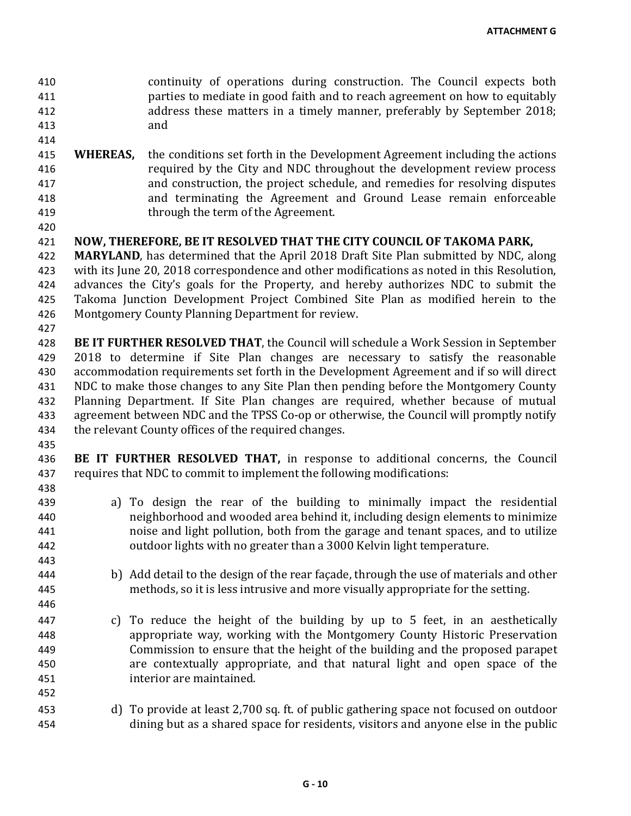410 continuity of operations during construction. The Council expects both<br>411 exparties to mediate in good faith and to reach agreement on how to equitably parties to mediate in good faith and to reach agreement on how to equitably 412 address these matters in a timely manner, preferably by September 2018;<br>413 and  $413$ 

- 414
- 415 **WHEREAS,** the conditions set forth in the Development Agreement including the actions required by the City and NDC throughout the development review process required by the City and NDC throughout the development review process 417 and construction, the project schedule, and remedies for resolving disputes<br>418 and terminating the Agreement and Ground Lease remain enforceable 418 and terminating the Agreement and Ground Lease remain enforceable<br>419 http://www.heavield.com/integrationthrough the term of the Agreement.
- 420

## 421 **NOW, THEREFORE, BE IT RESOLVED THAT THE CITY COUNCIL OF TAKOMA PARK,**

422 **MARYLAND**, has determined that the April 2018 Draft Site Plan submitted by NDC, along<br>423 with its June 20, 2018 correspondence and other modifications as noted in this Resolution, 423 with its June 20, 2018 correspondence and other modifications as noted in this Resolution,<br>424 advances the City's goals for the Property, and hereby authorizes NDC to submit the 424 advances the City's goals for the Property, and hereby authorizes NDC to submit the 425 Takoma Junction Development Project Combined Site Plan as modified herein to the 425 Takoma Junction Development Project Combined Site Plan as modified herein to the 426 Montgomery County Planning Department for review. Montgomery County Planning Department for review.

427

428 **BE IT FURTHER RESOLVED THAT**, the Council will schedule a Work Session in September<br>429 2018 to determine if Site Plan changes are necessary to satisfy the reasonable 429 2018 to determine if Site Plan changes are necessary to satisfy the reasonable<br>430 accommodation requirements set forth in the Development Agreement and if so will direct 430 accommodation requirements set forth in the Development Agreement and if so will direct<br>431 NDC to make those changes to any Site Plan then pending before the Montgomery County 431 NDC to make those changes to any Site Plan then pending before the Montgomery County<br>432 Planning Department. If Site Plan changes are required, whether because of mutual Planning Department. If Site Plan changes are required, whether because of mutual 433 agreement between NDC and the TPSS Co-op or otherwise, the Council will promptly notify 434 the relevant County offices of the required changes. the relevant County offices of the required changes.

435

443

446

452

436 **BE IT FURTHER RESOLVED THAT,** in response to additional concerns, the Council 437 requires that NDC to commit to implement the following modifications: 438

- 439 a) To design the rear of the building to minimally impact the residential<br>440 heighborhood and wooded area behind it including design elements to minimize neighborhood and wooded area behind it, including design elements to minimize 441 noise and light pollution, both from the garage and tenant spaces, and to utilize 442 outdoor lights with no greater than a 3000 Kelvin light temperature.
- 444 b) Add detail to the design of the rear façade, through the use of materials and other 445 methods, so it is less intrusive and more visually appropriate for the setting.
- 447 c) To reduce the height of the building by up to 5 feet, in an aesthetically<br>448 appropriate way, working with the Montgomery County Historic Preservation appropriate way, working with the Montgomery County Historic Preservation 449 Commission to ensure that the height of the building and the proposed parapet<br>450 **1988** are contextually appropriate, and that natural light and open space of the 450 are contextually appropriate, and that natural light and open space of the interior are maintained.
- 453 d) To provide at least 2,700 sq. ft. of public gathering space not focused on outdoor<br>454 dining but as a shared space for residents, visitors and anyone else in the public dining but as a shared space for residents, visitors and anyone else in the public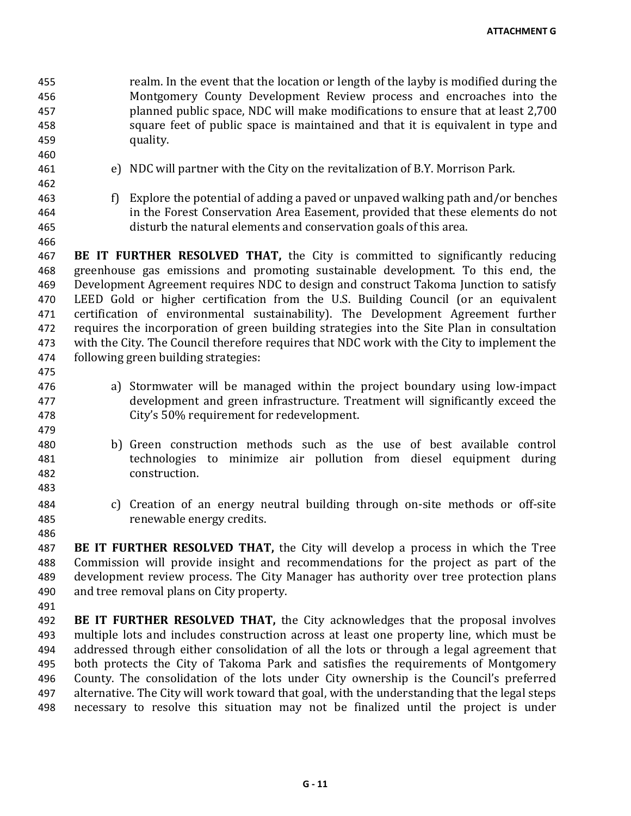- 455 realm. In the event that the location or length of the layby is modified during the<br>456 Montgomery County Development Review process and encroaches into the Montgomery County Development Review process and encroaches into the 457 planned public space, NDC will make modifications to ensure that at least 2,700 458 square feet of public space is maintained and that it is equivalent in type and 459 quality. 460 461 e) NDC will partner with the City on the revitalization of B.Y. Morrison Park. 462 463 f) Explore the potential of adding a paved or unpaved walking path and/or benches<br>464 in the Forest Conservation Area Easement, provided that these elements do not 464 in the Forest Conservation Area Easement, provided that these elements do not disturb the natural elements and conservation goals of this area. disturb the natural elements and conservation goals of this area. 466 467 **BE IT FURTHER RESOLVED THAT,** the City is committed to significantly reducing 468 greenhouse gas emissions and promoting sustainable development. To this end, the 468 greenhouse gas emissions and promoting sustainable development. To this end, the 469 Development Agreement requires NDC to design and construct Takoma Junction to satisfy 469 Development Agreement requires NDC to design and construct Takoma Junction to satisfy<br>470 LEED Gold or higher certification from the U.S. Building Council (or an equivalent 470 LEED Gold or higher certification from the U.S. Building Council (or an equivalent 471 certification of environmental sustainability). The Development Agreement further 471 certification of environmental sustainability). The Development Agreement further<br>472 requires the incorporation of green building strategies into the Site Plan in consultation 472 requires the incorporation of green building strategies into the Site Plan in consultation<br>473 with the City. The Council therefore requires that NDC work with the City to implement the 473 with the City. The Council therefore requires that NDC work with the City to implement the following green building strategies: following green building strategies: 475 476 a) Stormwater will be managed within the project boundary using low-impact<br>477 development and green infrastructure. Treatment will significantly exceed the development and green infrastructure. Treatment will significantly exceed the 478 City's 50% requirement for redevelopment. 479 480 b) Green construction methods such as the use of best available control<br>481 technologies to minimize air pollution from diesel equipment during technologies to minimize air pollution from diesel equipment during 482 construction. 483 484 c) Creation of an energy neutral building through on-site methods or off-site 485 renewable energy credits. 486 487 **BE IT FURTHER RESOLVED THAT,** the City will develop a process in which the Tree 488 Commission will provide insight and recommendations for the project as part of the 489 development review process. The City Manager has authority over tree protection plans 489 development review process. The City Manager has authority over tree protection plans<br>490 and tree removal plans on City property. and tree removal plans on City property. 491 492 **BE IT FURTHER RESOLVED THAT,** the City acknowledges that the proposal involves multiple lots and includes construction across at least one property line, which must be multiple lots and includes construction across at least one property line, which must be 494 addressed through either consolidation of all the lots or through a legal agreement that<br>495 both protects the City of Takoma Park and satisfies the requirements of Montgomery 495 both protects the City of Takoma Park and satisfies the requirements of Montgomery<br>496 County. The consolidation of the lots under City ownership is the Council's preferred 496 County. The consolidation of the lots under City ownership is the Council's preferred<br>497 alternative. The City will work toward that goal, with the understanding that the legal steps
- 497 alternative. The City will work toward that goal, with the understanding that the legal steps<br>498 necessary to resolve this situation may not be finalized until the project is under necessary to resolve this situation may not be finalized until the project is under